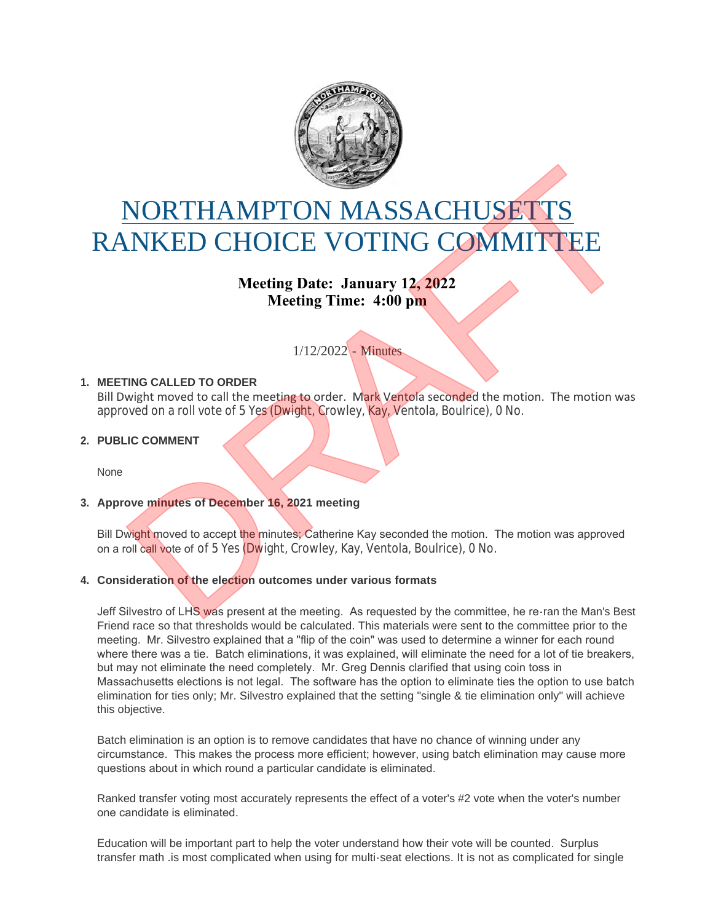

# NORTHAMPTON MASSACHUSETTS RANKED CHOICE VOTING COMMITTEE NORTHAMPTON MASSACHUSETTS<br>
NKED CHOICE VOTING COMMITTEE<br>
Meeting Date: January 12, 2022<br>
Meeting Time: 4:00 pm<br>
1/12/2022 - Minnes<br>
INIG CALLED TO ORDER<br>
INVENT moved to call the meeting to order. Mark Ventola seconded the

**Meeting Date: January 12, 2022 Meeting Time: 4:00 pm**

# 1/12/2022 - Minutes

# **MEETING CALLED TO ORDER 1.**

Bill Dwight moved to call the meeting to order. Mark Ventola seconded the motion. The motion was approved on a roll vote of 5 Yes (Dwight, Crowley, Kay, Ventola, Boulrice), 0 No.

# **PUBLIC COMMENT 2.**

None

# **Approve minutes of December 16, 2021 meeting 3.**

Bill Dwight moved to accept the minutes; Catherine Kay seconded the motion. The motion was approved on a roll call vote of of 5 Yes (Dwight, Crowley, Kay, Ventola, Boulrice), 0 No.

### **Consideration of the election outcomes under various formats 4.**

Jeff Silvestro of LHS was present at the meeting. As requested by the committee, he re-ran the Man's Best Friend race so that thresholds would be calculated. This materials were sent to the committee prior to the meeting. Mr. Silvestro explained that a "flip of the coin" was used to determine a winner for each round where there was a tie. Batch eliminations, it was explained, will eliminate the need for a lot of tie breakers, but may not eliminate the need completely. Mr. Greg Dennis clarified that using coin toss in Massachusetts elections is not legal. The software has the option to eliminate ties the option to use batch elimination for ties only; Mr. Silvestro explained that the setting "single & tie elimination only" will achieve this objective.

Batch elimination is an option is to remove candidates that have no chance of winning under any circumstance. This makes the process more efficient; however, using batch elimination may cause more questions about in which round a particular candidate is eliminated.

Ranked transfer voting most accurately represents the effect of a voter's #2 vote when the voter's number one candidate is eliminated.

Education will be important part to help the voter understand how their vote will be counted. Surplus transfer math .is most complicated when using for multi-seat elections. It is not as complicated for single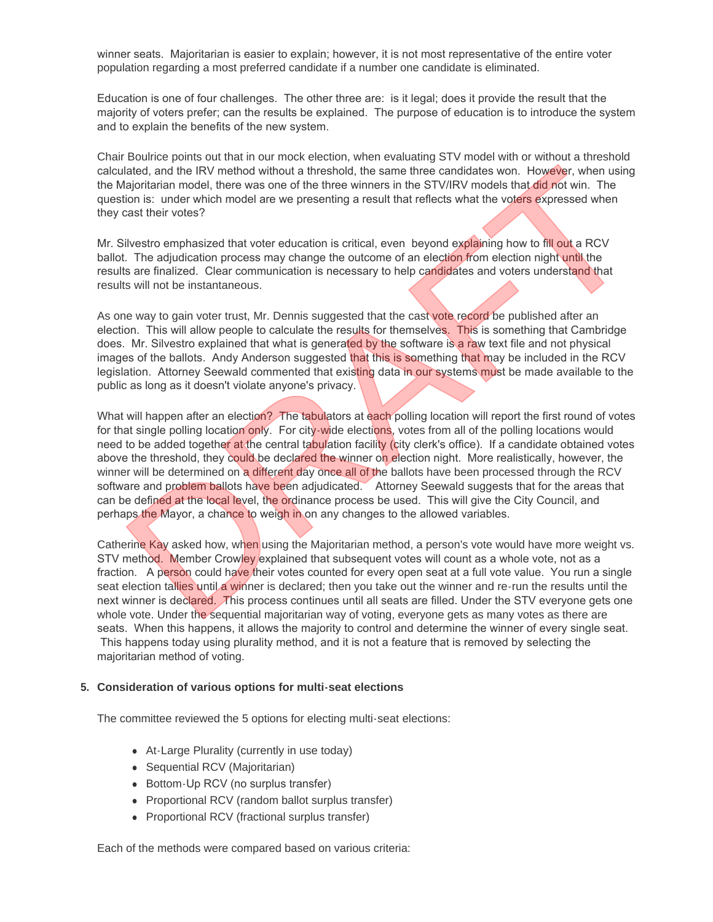winner seats. Majoritarian is easier to explain; however, it is not most representative of the entire voter population regarding a most preferred candidate if a number one candidate is eliminated.

Education is one of four challenges. The other three are: is it legal; does it provide the result that the majority of voters prefer; can the results be explained. The purpose of education is to introduce the system and to explain the benefits of the new system.

Chair Boulrice points out that in our mock election, when evaluating STV model with or without a threshold calculated, and the IRV method without a threshold, the same three candidates won. However, when using the Majoritarian model, there was one of the three winners in the STV/IRV models that did not win. The question is: under which model are we presenting a result that reflects what the voters expressed when they cast their votes?

Mr. Silvestro emphasized that voter education is critical, even beyond explaining how to fill out a RCV ballot. The adjudication process may change the outcome of an election from election night until the results are finalized. Clear communication is necessary to help candidates and voters understand that results will not be instantaneous.

As one way to gain voter trust, Mr. Dennis suggested that the cast vote record be published after an election. This will allow people to calculate the results for themselves. This is something that Cambridge does. Mr. Silvestro explained that what is generated by the software is a raw text file and not physical images of the ballots. Andy Anderson suggested that this is something that may be included in the RCV legislation. Attorney Seewald commented that existing data in our systems must be made available to the public as long as it doesn't violate anyone's privacy.

What will happen after an election? The tabulators at each polling location will report the first round of votes for that single polling location only. For city-wide elections, votes from all of the polling locations would need to be added together at the central tabulation facility (city clerk's office). If a candidate obtained votes above the threshold, they could be declared the winner on election night. More realistically, however, the winner will be determined on a different day once all of the ballots have been processed through the RCV software and problem ballots have been adjudicated. Attorney Seewald suggests that for the areas that can be defined at the local level, the ordinance process be used. This will give the City Council, and perhaps the Mayor, a chance to weigh in on any changes to the allowed variables. now then the two method without a threshold, the same three cranidates won. However, when using<br>lated, and the IRV method without a threshold, the same three Cranidates won. However, when using<br>lated, and the IRV method wi

Catherine Kay asked how, when using the Majoritarian method, a person's vote would have more weight vs. STV method. Member Crowley explained that subsequent votes will count as a whole vote, not as a fraction. A person could have their votes counted for every open seat at a full vote value. You run a single seat election tallies until a winner is declared; then you take out the winner and re-run the results until the next winner is declared. This process continues until all seats are filled. Under the STV everyone gets one whole vote. Under the sequential majoritarian way of voting, everyone gets as many votes as there are seats. When this happens, it allows the majority to control and determine the winner of every single seat. This happens today using plurality method, and it is not a feature that is removed by selecting the majoritarian method of voting.

### **Consideration of various options for multi-seat elections 5.**

The committee reviewed the 5 options for electing multi-seat elections:

- At-Large Plurality (currently in use today)
- Sequential RCV (Majoritarian)
- Bottom-Up RCV (no surplus transfer)
- Proportional RCV (random ballot surplus transfer)
- Proportional RCV (fractional surplus transfer)

Each of the methods were compared based on various criteria: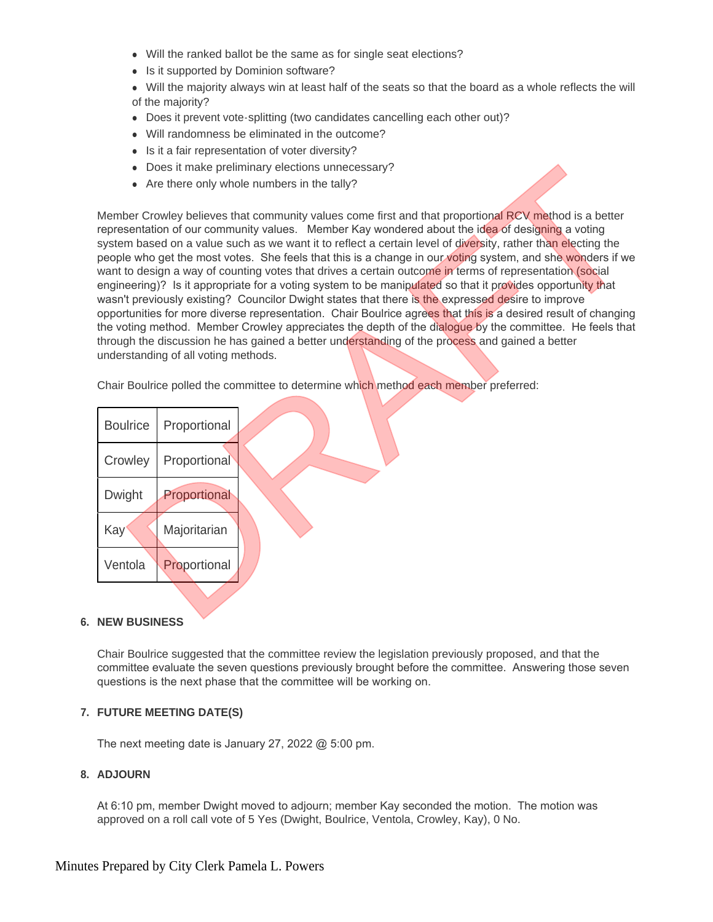- Will the ranked ballot be the same as for single seat elections?
- Is it supported by Dominion software?
- Will the majority always win at least half of the seats so that the board as a whole reflects the will of the majority?
- Does it prevent vote-splitting (two candidates cancelling each other out)?
- Will randomness be eliminated in the outcome?
- $\bullet$  Is it a fair representation of voter diversity?
- Does it make preliminary elections unnecessary?
- $\bullet$  Are there only whole numbers in the tally?

Member Crowley believes that community values come first and that proportional RCV method is a better representation of our community values. Member Kay wondered about the idea of designing a voting system based on a value such as we want it to reflect a certain level of diversity, rather than electing the people who get the most votes. She feels that this is a change in our voting system, and she wonders if we want to design a way of counting votes that drives a certain outcome in terms of representation (social engineering)? Is it appropriate for a voting system to be manipulated so that it provides opportunity that wasn't previously existing? Councilor Dwight states that there is the expressed desire to improve opportunities for more diverse representation. Chair Boulrice agrees that this is a desired result of changing the voting method. Member Crowley appreciates the depth of the dialogue by the committee. He feels that through the discussion he has gained a better understanding of the process and gained a better understanding of all voting methods. • Does it make preliminary elections unnecessary?<br>• Are there only whole numbers in the tally?<br>
Series Crowing believes that a the proportional RCV method is a better<br>
series come on a value such as we want it to reflect a

Chair Boulrice polled the committee to determine which method each member preferred:

| <b>Boulrice</b> | Proportional |  |
|-----------------|--------------|--|
| Crowley         | Proportional |  |
| Dwight          | Proportional |  |
| Kay             | Majoritarian |  |
| Ventola         | Proportional |  |
|                 |              |  |

# **NEW BUSINESS 6.**

Chair Boulrice suggested that the committee review the legislation previously proposed, and that the committee evaluate the seven questions previously brought before the committee. Answering those seven questions is the next phase that the committee will be working on.

# **FUTURE MEETING DATE(S) 7.**

The next meeting date is January 27, 2022 @ 5:00 pm.

# **ADJOURN 8.**

At 6:10 pm, member Dwight moved to adjourn; member Kay seconded the motion. The motion was approved on a roll call vote of 5 Yes (Dwight, Boulrice, Ventola, Crowley, Kay), 0 No.